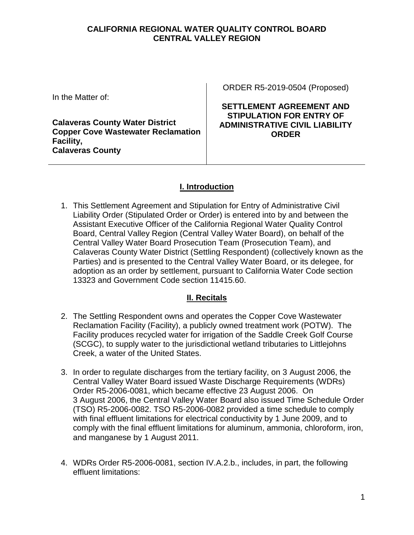#### **CALIFORNIA REGIONAL WATER QUALITY CONTROL BOARD CENTRAL VALLEY REGION**

In the Matter of:

**Calaveras County Water District Copper Cove Wastewater Reclamation Facility, Calaveras County**

ORDER R5-2019-0504 (Proposed)

## **SETTLEMENT AGREEMENT AND STIPULATION FOR ENTRY OF ADMINISTRATIVE CIVIL LIABILITY ORDER**

# **I. Introduction**

1. This Settlement Agreement and Stipulation for Entry of Administrative Civil Liability Order (Stipulated Order or Order) is entered into by and between the Assistant Executive Officer of the California Regional Water Quality Control Board, Central Valley Region (Central Valley Water Board), on behalf of the Central Valley Water Board Prosecution Team (Prosecution Team), and Calaveras County Water District (Settling Respondent) (collectively known as the Parties) and is presented to the Central Valley Water Board, or its delegee, for adoption as an order by settlement, pursuant to California Water Code section 13323 and Government Code section 11415.60.

## **II. Recitals**

- 2. The Settling Respondent owns and operates the Copper Cove Wastewater Reclamation Facility (Facility), a publicly owned treatment work (POTW). The Facility produces recycled water for irrigation of the Saddle Creek Golf Course (SCGC), to supply water to the jurisdictional wetland tributaries to Littlejohns Creek, a water of the United States.
- 3. In order to regulate discharges from the tertiary facility, on 3 August 2006, the Central Valley Water Board issued Waste Discharge Requirements (WDRs) Order R5-2006-0081, which became effective 23 August 2006. On 3 August 2006, the Central Valley Water Board also issued Time Schedule Order (TSO) R5-2006-0082. TSO R5-2006-0082 provided a time schedule to comply with final effluent limitations for electrical conductivity by 1 June 2009, and to comply with the final effluent limitations for aluminum, ammonia, chloroform, iron, and manganese by 1 August 2011.
- 4. WDRs Order R5-2006-0081, section IV.A.2.b., includes, in part, the following effluent limitations: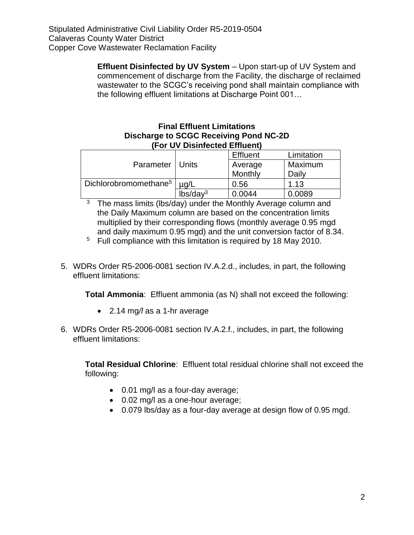**Effluent Disinfected by UV System** – Upon start-up of UV System and commencement of discharge from the Facility, the discharge of reclaimed wastewater to the SCGC's receiving pond shall maintain compliance with the following effluent limitations at Discharge Point 001…

## **Final Effluent Limitations Discharge to SCGC Receiving Pond NC-2D (For UV Disinfected Effluent)**

|                                   |                      | <b>Effluent</b> | Limitation |
|-----------------------------------|----------------------|-----------------|------------|
| Parameter   Units                 |                      | Average         | Maximum    |
|                                   |                      | Monthly         | Daily      |
| Dichlorobromomethane <sup>5</sup> | $\mu$ g/L            | 0.56            | 1.13       |
|                                   | lbs/day <sup>3</sup> | 0.0044          | 0.0089     |

 $\overline{3}$  The mass limits (lbs/day) under the Monthly Average column and the Daily Maximum column are based on the concentration limits multiplied by their corresponding flows (monthly average 0.95 mgd and daily maximum 0.95 mgd) and the unit conversion factor of 8.34.

 $5$  Full compliance with this limitation is required by 18 May 2010.

5. WDRs Order R5-2006-0081 section IV.A.2.d., includes, in part, the following effluent limitations:

**Total Ammonia**: Effluent ammonia (as N) shall not exceed the following:

- 2.14 mg*/l* as a 1-hr average
- 6. WDRs Order R5-2006-0081 section IV.A.2.f., includes, in part, the following effluent limitations:

**Total Residual Chlorine**: Effluent total residual chlorine shall not exceed the following:

- 0.01 mg/l as a four-day average;
- 0.02 mg/l as a one-hour average;
- 0.079 lbs/day as a four-day average at design flow of 0.95 mgd.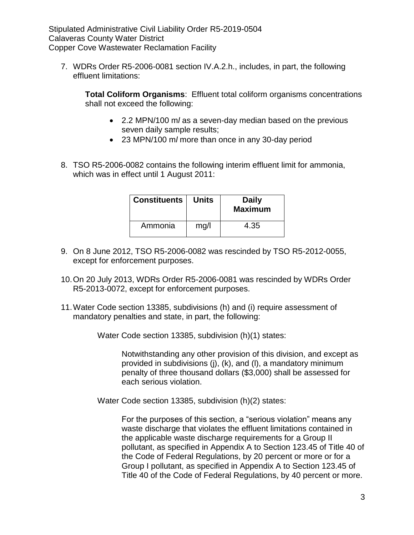7. WDRs Order R5-2006-0081 section IV.A.2.h., includes, in part, the following effluent limitations:

**Total Coliform Organisms**: Effluent total coliform organisms concentrations shall not exceed the following:

- 2.2 MPN/100 m*l* as a seven-day median based on the previous seven daily sample results;
- 23 MPN/100 m*l* more than once in any 30-day period
- 8. TSO R5-2006-0082 contains the following interim effluent limit for ammonia, which was in effect until 1 August 2011:

| <b>Constituents</b> | <b>Units</b> | <b>Daily</b><br><b>Maximum</b> |
|---------------------|--------------|--------------------------------|
| Ammonia             | mg/l         | 4.35                           |

- 9. On 8 June 2012, TSO R5-2006-0082 was rescinded by TSO R5-2012-0055, except for enforcement purposes.
- 10.On 20 July 2013, WDRs Order R5-2006-0081 was rescinded by WDRs Order R5-2013-0072, except for enforcement purposes.
- 11.Water Code section 13385, subdivisions (h) and (i) require assessment of mandatory penalties and state, in part, the following:

Water Code section 13385, subdivision (h)(1) states:

Notwithstanding any other provision of this division, and except as provided in subdivisions (j), (k), and (l), a mandatory minimum penalty of three thousand dollars (\$3,000) shall be assessed for each serious violation.

Water Code section 13385, subdivision (h)(2) states:

For the purposes of this section, a "serious violation" means any waste discharge that violates the effluent limitations contained in the applicable waste discharge requirements for a Group II pollutant, as specified in Appendix A to Section 123.45 of Title 40 of the Code of Federal Regulations, by 20 percent or more or for a Group I pollutant, as specified in Appendix A to Section 123.45 of Title 40 of the Code of Federal Regulations, by 40 percent or more.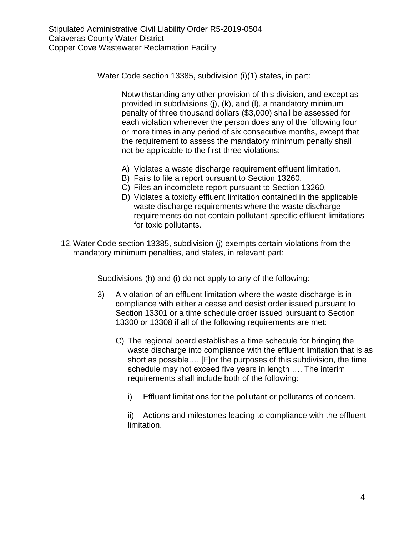Water Code section 13385, subdivision (i)(1) states, in part:

Notwithstanding any other provision of this division, and except as provided in subdivisions (j), (k), and (l), a mandatory minimum penalty of three thousand dollars (\$3,000) shall be assessed for each violation whenever the person does any of the following four or more times in any period of six consecutive months, except that the requirement to assess the mandatory minimum penalty shall not be applicable to the first three violations:

- A) Violates a waste discharge requirement effluent limitation.
- B) Fails to file a report pursuant to Section 13260.
- C) Files an incomplete report pursuant to Section 13260.
- D) Violates a toxicity effluent limitation contained in the applicable waste discharge requirements where the waste discharge requirements do not contain pollutant-specific effluent limitations for toxic pollutants.
- 12.Water Code section 13385, subdivision (j) exempts certain violations from the mandatory minimum penalties, and states, in relevant part:

Subdivisions (h) and (i) do not apply to any of the following:

- 3) A violation of an effluent limitation where the waste discharge is in compliance with either a cease and desist order issued pursuant to Section 13301 or a time schedule order issued pursuant to Section 13300 or 13308 if all of the following requirements are met:
	- C) The regional board establishes a time schedule for bringing the waste discharge into compliance with the effluent limitation that is as short as possible…. [F]or the purposes of this subdivision, the time schedule may not exceed five years in length …. The interim requirements shall include both of the following:
		- i) Effluent limitations for the pollutant or pollutants of concern.

ii) Actions and milestones leading to compliance with the effluent limitation.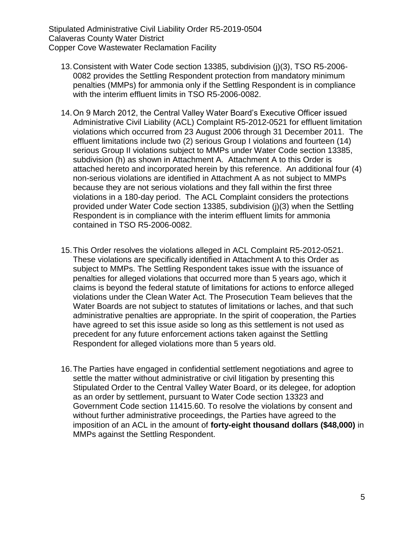- 13.Consistent with Water Code section 13385, subdivision (j)(3), TSO R5-2006- 0082 provides the Settling Respondent protection from mandatory minimum penalties (MMPs) for ammonia only if the Settling Respondent is in compliance with the interim effluent limits in TSO R5-2006-0082.
- 14.On 9 March 2012, the Central Valley Water Board's Executive Officer issued Administrative Civil Liability (ACL) Complaint R5-2012-0521 for effluent limitation violations which occurred from 23 August 2006 through 31 December 2011. The effluent limitations include two (2) serious Group I violations and fourteen (14) serious Group II violations subject to MMPs under Water Code section 13385, subdivision (h) as shown in Attachment A. Attachment A to this Order is attached hereto and incorporated herein by this reference. An additional four (4) non-serious violations are identified in Attachment A as not subject to MMPs because they are not serious violations and they fall within the first three violations in a 180-day period. The ACL Complaint considers the protections provided under Water Code section 13385, subdivision (j)(3) when the Settling Respondent is in compliance with the interim effluent limits for ammonia contained in TSO R5-2006-0082.
- 15.This Order resolves the violations alleged in ACL Complaint R5-2012-0521. These violations are specifically identified in Attachment A to this Order as subject to MMPs. The Settling Respondent takes issue with the issuance of penalties for alleged violations that occurred more than 5 years ago, which it claims is beyond the federal statute of limitations for actions to enforce alleged violations under the Clean Water Act. The Prosecution Team believes that the Water Boards are not subject to statutes of limitations or laches, and that such administrative penalties are appropriate. In the spirit of cooperation, the Parties have agreed to set this issue aside so long as this settlement is not used as precedent for any future enforcement actions taken against the Settling Respondent for alleged violations more than 5 years old.
- 16.The Parties have engaged in confidential settlement negotiations and agree to settle the matter without administrative or civil litigation by presenting this Stipulated Order to the Central Valley Water Board, or its delegee, for adoption as an order by settlement, pursuant to Water Code section 13323 and Government Code section 11415.60. To resolve the violations by consent and without further administrative proceedings, the Parties have agreed to the imposition of an ACL in the amount of **forty-eight thousand dollars (\$48,000)** in MMPs against the Settling Respondent.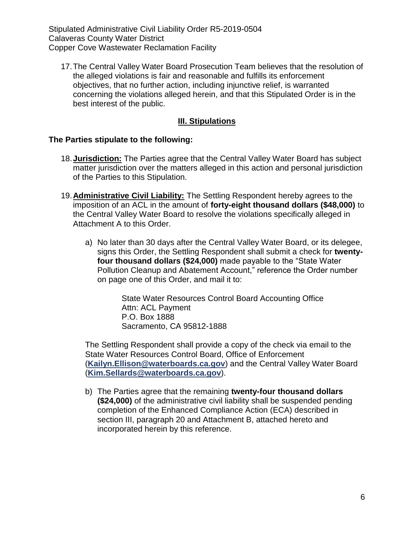17.The Central Valley Water Board Prosecution Team believes that the resolution of the alleged violations is fair and reasonable and fulfills its enforcement objectives, that no further action, including injunctive relief, is warranted concerning the violations alleged herein, and that this Stipulated Order is in the best interest of the public.

## **III. Stipulations**

## **The Parties stipulate to the following:**

- 18.**Jurisdiction:** The Parties agree that the Central Valley Water Board has subject matter jurisdiction over the matters alleged in this action and personal jurisdiction of the Parties to this Stipulation.
- 19.**Administrative Civil Liability:** The Settling Respondent hereby agrees to the imposition of an ACL in the amount of **forty-eight thousand dollars (\$48,000)** to the Central Valley Water Board to resolve the violations specifically alleged in Attachment A to this Order.
	- a) No later than 30 days after the Central Valley Water Board, or its delegee, signs this Order, the Settling Respondent shall submit a check for **twentyfour thousand dollars (\$24,000)** made payable to the "State Water Pollution Cleanup and Abatement Account," reference the Order number on page one of this Order, and mail it to:

State Water Resources Control Board Accounting Office Attn: ACL Payment P.O. Box 1888 Sacramento, CA 95812-1888

The Settling Respondent shall provide a copy of the check via email to the State Water Resources Control Board, Office of Enforcement (**[Kailyn.Ellison@waterboards.ca.gov](mailto:Kailyn.Ellison@waterboards.ca.gov)**) and the Central Valley Water Board (**[Kim.Sellards@waterboards.ca.gov](mailto:Kim.Sellards@waterboards.ca.gov)**).

b) The Parties agree that the remaining **twenty-four thousand dollars (\$24,000)** of the administrative civil liability shall be suspended pending completion of the Enhanced Compliance Action (ECA) described in section III, paragraph 20 and Attachment B, attached hereto and incorporated herein by this reference.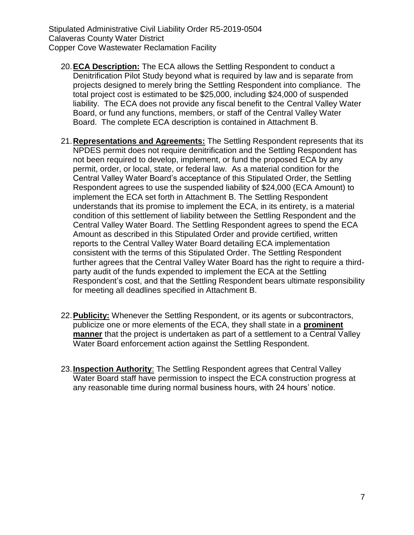- 20.**ECA Description:** The ECA allows the Settling Respondent to conduct a Denitrification Pilot Study beyond what is required by law and is separate from projects designed to merely bring the Settling Respondent into compliance. The total project cost is estimated to be \$25,000, including \$24,000 of suspended liability. The ECA does not provide any fiscal benefit to the Central Valley Water Board, or fund any functions, members, or staff of the Central Valley Water Board. The complete ECA description is contained in Attachment B.
- 21.**Representations and Agreements:** The Settling Respondent represents that its NPDES permit does not require denitrification and the Settling Respondent has not been required to develop, implement, or fund the proposed ECA by any permit, order, or local, state, or federal law. As a material condition for the Central Valley Water Board's acceptance of this Stipulated Order, the Settling Respondent agrees to use the suspended liability of \$24,000 (ECA Amount) to implement the ECA set forth in Attachment B. The Settling Respondent understands that its promise to implement the ECA, in its entirety, is a material condition of this settlement of liability between the Settling Respondent and the Central Valley Water Board. The Settling Respondent agrees to spend the ECA Amount as described in this Stipulated Order and provide certified, written reports to the Central Valley Water Board detailing ECA implementation consistent with the terms of this Stipulated Order. The Settling Respondent further agrees that the Central Valley Water Board has the right to require a thirdparty audit of the funds expended to implement the ECA at the Settling Respondent's cost, and that the Settling Respondent bears ultimate responsibility for meeting all deadlines specified in Attachment B.
- 22.**Publicity:** Whenever the Settling Respondent, or its agents or subcontractors, publicize one or more elements of the ECA, they shall state in a **prominent manner** that the project is undertaken as part of a settlement to a Central Valley Water Board enforcement action against the Settling Respondent.
- 23.**Inspection Authority**: The Settling Respondent agrees that Central Valley Water Board staff have permission to inspect the ECA construction progress at any reasonable time during normal business hours, with 24 hours' notice.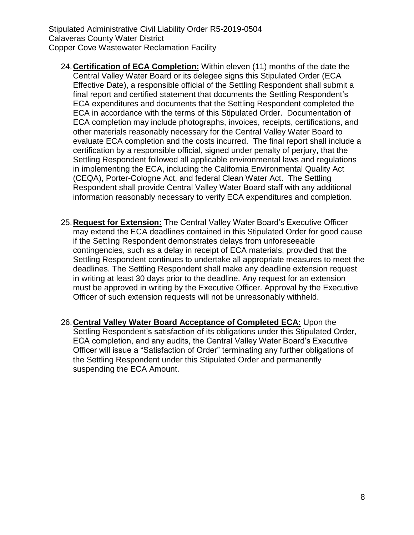- 24.**Certification of ECA Completion:** Within eleven (11) months of the date the Central Valley Water Board or its delegee signs this Stipulated Order (ECA Effective Date), a responsible official of the Settling Respondent shall submit a final report and certified statement that documents the Settling Respondent's ECA expenditures and documents that the Settling Respondent completed the ECA in accordance with the terms of this Stipulated Order. Documentation of ECA completion may include photographs, invoices, receipts, certifications, and other materials reasonably necessary for the Central Valley Water Board to evaluate ECA completion and the costs incurred. The final report shall include a certification by a responsible official, signed under penalty of perjury, that the Settling Respondent followed all applicable environmental laws and regulations in implementing the ECA, including the California Environmental Quality Act (CEQA), Porter-Cologne Act, and federal Clean Water Act. The Settling Respondent shall provide Central Valley Water Board staff with any additional information reasonably necessary to verify ECA expenditures and completion.
- 25.**Request for Extension:** The Central Valley Water Board's Executive Officer may extend the ECA deadlines contained in this Stipulated Order for good cause if the Settling Respondent demonstrates delays from unforeseeable contingencies, such as a delay in receipt of ECA materials, provided that the Settling Respondent continues to undertake all appropriate measures to meet the deadlines. The Settling Respondent shall make any deadline extension request in writing at least 30 days prior to the deadline. Any request for an extension must be approved in writing by the Executive Officer. Approval by the Executive Officer of such extension requests will not be unreasonably withheld.
- 26.**Central Valley Water Board Acceptance of Completed ECA:** Upon the Settling Respondent's satisfaction of its obligations under this Stipulated Order, ECA completion, and any audits, the Central Valley Water Board's Executive Officer will issue a "Satisfaction of Order" terminating any further obligations of the Settling Respondent under this Stipulated Order and permanently suspending the ECA Amount.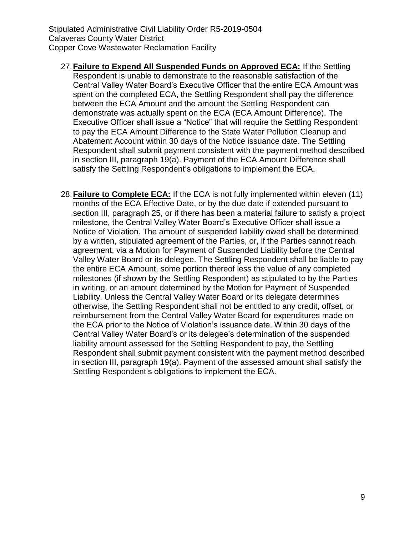- 27.**Failure to Expend All Suspended Funds on Approved ECA:** If the Settling Respondent is unable to demonstrate to the reasonable satisfaction of the Central Valley Water Board's Executive Officer that the entire ECA Amount was spent on the completed ECA, the Settling Respondent shall pay the difference between the ECA Amount and the amount the Settling Respondent can demonstrate was actually spent on the ECA (ECA Amount Difference). The Executive Officer shall issue a "Notice" that will require the Settling Respondent to pay the ECA Amount Difference to the State Water Pollution Cleanup and Abatement Account within 30 days of the Notice issuance date. The Settling Respondent shall submit payment consistent with the payment method described in section III, paragraph 19(a). Payment of the ECA Amount Difference shall satisfy the Settling Respondent's obligations to implement the ECA.
- 28.**Failure to Complete ECA:** If the ECA is not fully implemented within eleven (11) months of the ECA Effective Date, or by the due date if extended pursuant to section III, paragraph 25, or if there has been a material failure to satisfy a project milestone, the Central Valley Water Board's Executive Officer shall issue a Notice of Violation. The amount of suspended liability owed shall be determined by a written, stipulated agreement of the Parties, or, if the Parties cannot reach agreement, via a Motion for Payment of Suspended Liability before the Central Valley Water Board or its delegee. The Settling Respondent shall be liable to pay the entire ECA Amount, some portion thereof less the value of any completed milestones (if shown by the Settling Respondent) as stipulated to by the Parties in writing, or an amount determined by the Motion for Payment of Suspended Liability. Unless the Central Valley Water Board or its delegate determines otherwise, the Settling Respondent shall not be entitled to any credit, offset, or reimbursement from the Central Valley Water Board for expenditures made on the ECA prior to the Notice of Violation's issuance date. Within 30 days of the Central Valley Water Board's or its delegee's determination of the suspended liability amount assessed for the Settling Respondent to pay, the Settling Respondent shall submit payment consistent with the payment method described in section III, paragraph 19(a). Payment of the assessed amount shall satisfy the Settling Respondent's obligations to implement the ECA.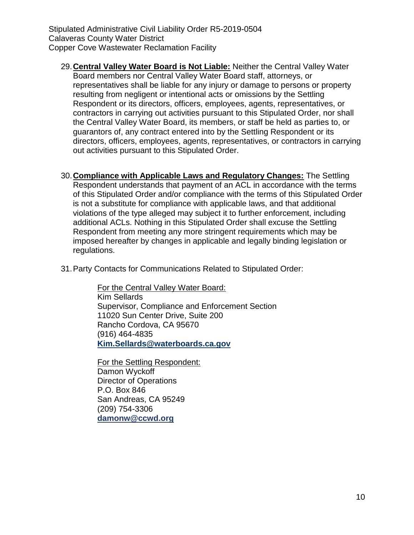- 29.**Central Valley Water Board is Not Liable:** Neither the Central Valley Water Board members nor Central Valley Water Board staff, attorneys, or representatives shall be liable for any injury or damage to persons or property resulting from negligent or intentional acts or omissions by the Settling Respondent or its directors, officers, employees, agents, representatives, or contractors in carrying out activities pursuant to this Stipulated Order, nor shall the Central Valley Water Board, its members, or staff be held as parties to, or guarantors of, any contract entered into by the Settling Respondent or its directors, officers, employees, agents, representatives, or contractors in carrying out activities pursuant to this Stipulated Order.
- 30.**Compliance with Applicable Laws and Regulatory Changes:** The Settling Respondent understands that payment of an ACL in accordance with the terms of this Stipulated Order and/or compliance with the terms of this Stipulated Order is not a substitute for compliance with applicable laws, and that additional violations of the type alleged may subject it to further enforcement, including additional ACLs. Nothing in this Stipulated Order shall excuse the Settling Respondent from meeting any more stringent requirements which may be imposed hereafter by changes in applicable and legally binding legislation or regulations.
- 31.Party Contacts for Communications Related to Stipulated Order:

For the Central Valley Water Board: Kim Sellards Supervisor, Compliance and Enforcement Section 11020 Sun Center Drive, Suite 200 Rancho Cordova, CA 95670 (916) 464-4835 **[Kim.Sellards@waterboards.ca.gov](mailto:Kim.Sellards@waterboards.ca.gov)**

For the Settling Respondent: Damon Wyckoff Director of Operations P.O. Box 846 San Andreas, CA 95249 (209) 754-3306 **[damonw@ccwd.org](mailto:damonw@ccwd.org)**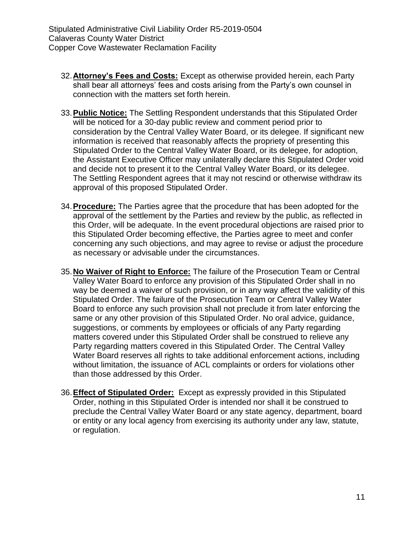- 32.**Attorney's Fees and Costs:** Except as otherwise provided herein, each Party shall bear all attorneys' fees and costs arising from the Party's own counsel in connection with the matters set forth herein.
- 33.**Public Notice:** The Settling Respondent understands that this Stipulated Order will be noticed for a 30-day public review and comment period prior to consideration by the Central Valley Water Board, or its delegee. If significant new information is received that reasonably affects the propriety of presenting this Stipulated Order to the Central Valley Water Board, or its delegee, for adoption, the Assistant Executive Officer may unilaterally declare this Stipulated Order void and decide not to present it to the Central Valley Water Board, or its delegee. The Settling Respondent agrees that it may not rescind or otherwise withdraw its approval of this proposed Stipulated Order.
- 34.**Procedure:** The Parties agree that the procedure that has been adopted for the approval of the settlement by the Parties and review by the public, as reflected in this Order, will be adequate. In the event procedural objections are raised prior to this Stipulated Order becoming effective, the Parties agree to meet and confer concerning any such objections, and may agree to revise or adjust the procedure as necessary or advisable under the circumstances.
- 35.**No Waiver of Right to Enforce:** The failure of the Prosecution Team or Central Valley Water Board to enforce any provision of this Stipulated Order shall in no way be deemed a waiver of such provision, or in any way affect the validity of this Stipulated Order. The failure of the Prosecution Team or Central Valley Water Board to enforce any such provision shall not preclude it from later enforcing the same or any other provision of this Stipulated Order. No oral advice, guidance, suggestions, or comments by employees or officials of any Party regarding matters covered under this Stipulated Order shall be construed to relieve any Party regarding matters covered in this Stipulated Order. The Central Valley Water Board reserves all rights to take additional enforcement actions, including without limitation, the issuance of ACL complaints or orders for violations other than those addressed by this Order.
- 36.**Effect of Stipulated Order:** Except as expressly provided in this Stipulated Order, nothing in this Stipulated Order is intended nor shall it be construed to preclude the Central Valley Water Board or any state agency, department, board or entity or any local agency from exercising its authority under any law, statute, or regulation.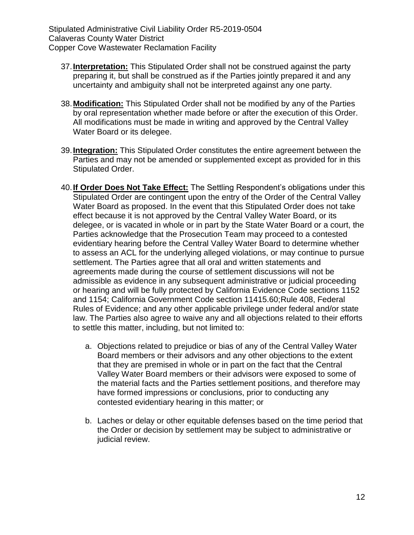- 37.**Interpretation:** This Stipulated Order shall not be construed against the party preparing it, but shall be construed as if the Parties jointly prepared it and any uncertainty and ambiguity shall not be interpreted against any one party.
- 38.**Modification:** This Stipulated Order shall not be modified by any of the Parties by oral representation whether made before or after the execution of this Order. All modifications must be made in writing and approved by the Central Valley Water Board or its delegee.
- 39.**Integration:** This Stipulated Order constitutes the entire agreement between the Parties and may not be amended or supplemented except as provided for in this Stipulated Order.
- 40.**If Order Does Not Take Effect:** The Settling Respondent's obligations under this Stipulated Order are contingent upon the entry of the Order of the Central Valley Water Board as proposed. In the event that this Stipulated Order does not take effect because it is not approved by the Central Valley Water Board, or its delegee, or is vacated in whole or in part by the State Water Board or a court, the Parties acknowledge that the Prosecution Team may proceed to a contested evidentiary hearing before the Central Valley Water Board to determine whether to assess an ACL for the underlying alleged violations, or may continue to pursue settlement. The Parties agree that all oral and written statements and agreements made during the course of settlement discussions will not be admissible as evidence in any subsequent administrative or judicial proceeding or hearing and will be fully protected by California Evidence Code sections 1152 and 1154; California Government Code section 11415.60;Rule 408, Federal Rules of Evidence; and any other applicable privilege under federal and/or state law. The Parties also agree to waive any and all objections related to their efforts to settle this matter, including, but not limited to:
	- a. Objections related to prejudice or bias of any of the Central Valley Water Board members or their advisors and any other objections to the extent that they are premised in whole or in part on the fact that the Central Valley Water Board members or their advisors were exposed to some of the material facts and the Parties settlement positions, and therefore may have formed impressions or conclusions, prior to conducting any contested evidentiary hearing in this matter; or
	- b. Laches or delay or other equitable defenses based on the time period that the Order or decision by settlement may be subject to administrative or judicial review.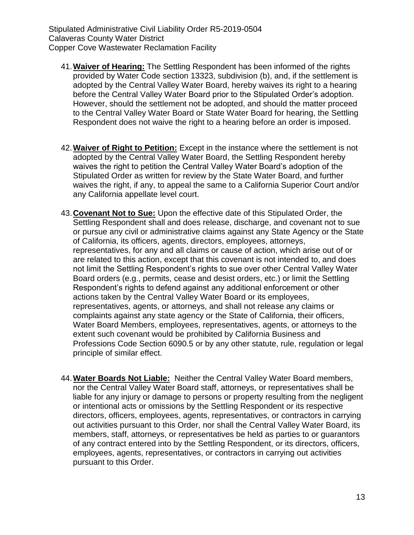- 41.**Waiver of Hearing:** The Settling Respondent has been informed of the rights provided by Water Code section 13323, subdivision (b), and, if the settlement is adopted by the Central Valley Water Board, hereby waives its right to a hearing before the Central Valley Water Board prior to the Stipulated Order's adoption. However, should the settlement not be adopted, and should the matter proceed to the Central Valley Water Board or State Water Board for hearing, the Settling Respondent does not waive the right to a hearing before an order is imposed.
- 42.**Waiver of Right to Petition:** Except in the instance where the settlement is not adopted by the Central Valley Water Board, the Settling Respondent hereby waives the right to petition the Central Valley Water Board's adoption of the Stipulated Order as written for review by the State Water Board, and further waives the right, if any, to appeal the same to a California Superior Court and/or any California appellate level court.
- 43.**Covenant Not to Sue:** Upon the effective date of this Stipulated Order, the Settling Respondent shall and does release, discharge, and covenant not to sue or pursue any civil or administrative claims against any State Agency or the State of California, its officers, agents, directors, employees, attorneys, representatives, for any and all claims or cause of action, which arise out of or are related to this action, except that this covenant is not intended to, and does not limit the Settling Respondent's rights to sue over other Central Valley Water Board orders (e.g., permits, cease and desist orders, etc.) or limit the Settling Respondent's rights to defend against any additional enforcement or other actions taken by the Central Valley Water Board or its employees, representatives, agents, or attorneys, and shall not release any claims or complaints against any state agency or the State of California, their officers, Water Board Members, employees, representatives, agents, or attorneys to the extent such covenant would be prohibited by California Business and Professions Code Section 6090.5 or by any other statute, rule, regulation or legal principle of similar effect.
- 44.**Water Boards Not Liable:** Neither the Central Valley Water Board members, nor the Central Valley Water Board staff, attorneys, or representatives shall be liable for any injury or damage to persons or property resulting from the negligent or intentional acts or omissions by the Settling Respondent or its respective directors, officers, employees, agents, representatives, or contractors in carrying out activities pursuant to this Order, nor shall the Central Valley Water Board, its members, staff, attorneys, or representatives be held as parties to or guarantors of any contract entered into by the Settling Respondent, or its directors, officers, employees, agents, representatives, or contractors in carrying out activities pursuant to this Order.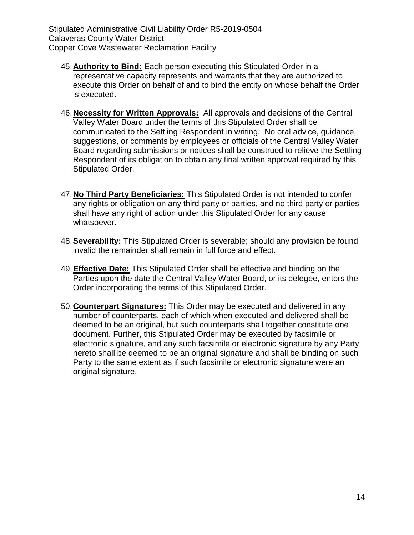- 45.**Authority to Bind:** Each person executing this Stipulated Order in a representative capacity represents and warrants that they are authorized to execute this Order on behalf of and to bind the entity on whose behalf the Order is executed.
- 46.**Necessity for Written Approvals:** All approvals and decisions of the Central Valley Water Board under the terms of this Stipulated Order shall be communicated to the Settling Respondent in writing. No oral advice, guidance, suggestions, or comments by employees or officials of the Central Valley Water Board regarding submissions or notices shall be construed to relieve the Settling Respondent of its obligation to obtain any final written approval required by this Stipulated Order.
- 47.**No Third Party Beneficiaries:** This Stipulated Order is not intended to confer any rights or obligation on any third party or parties, and no third party or parties shall have any right of action under this Stipulated Order for any cause whatsoever.
- 48.**Severability:** This Stipulated Order is severable; should any provision be found invalid the remainder shall remain in full force and effect.
- 49.**Effective Date:** This Stipulated Order shall be effective and binding on the Parties upon the date the Central Valley Water Board, or its delegee, enters the Order incorporating the terms of this Stipulated Order.
- 50.**Counterpart Signatures:** This Order may be executed and delivered in any number of counterparts, each of which when executed and delivered shall be deemed to be an original, but such counterparts shall together constitute one document. Further, this Stipulated Order may be executed by facsimile or electronic signature, and any such facsimile or electronic signature by any Party hereto shall be deemed to be an original signature and shall be binding on such Party to the same extent as if such facsimile or electronic signature were an original signature.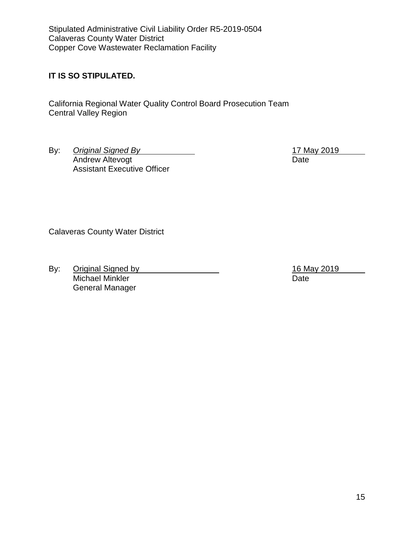## **IT IS SO STIPULATED.**

California Regional Water Quality Control Board Prosecution Team Central Valley Region

By: *Original Signed By* 17 May 2019 Andrew Altevogt Date Assistant Executive Officer

Calaveras County Water District

By: Original Signed by 16 May 2019 Michael Minkler Date General Manager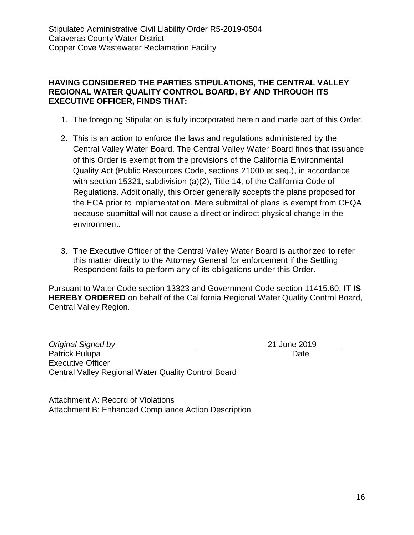## **HAVING CONSIDERED THE PARTIES STIPULATIONS, THE CENTRAL VALLEY REGIONAL WATER QUALITY CONTROL BOARD, BY AND THROUGH ITS EXECUTIVE OFFICER, FINDS THAT:**

- 1. The foregoing Stipulation is fully incorporated herein and made part of this Order.
- 2. This is an action to enforce the laws and regulations administered by the Central Valley Water Board. The Central Valley Water Board finds that issuance of this Order is exempt from the provisions of the California Environmental Quality Act (Public Resources Code, sections 21000 et seq.), in accordance with section 15321, subdivision (a)(2), Title 14, of the California Code of Regulations. Additionally, this Order generally accepts the plans proposed for the ECA prior to implementation. Mere submittal of plans is exempt from CEQA because submittal will not cause a direct or indirect physical change in the environment.
- 3. The Executive Officer of the Central Valley Water Board is authorized to refer this matter directly to the Attorney General for enforcement if the Settling Respondent fails to perform any of its obligations under this Order.

Pursuant to Water Code section 13323 and Government Code section 11415.60, **IT IS HEREBY ORDERED** on behalf of the California Regional Water Quality Control Board, Central Valley Region.

*Original Signed by* 21 June 2019 Patrick Pulupa Date Date Date Date Date Date Executive Officer Central Valley Regional Water Quality Control Board

Attachment A: Record of Violations Attachment B: Enhanced Compliance Action Description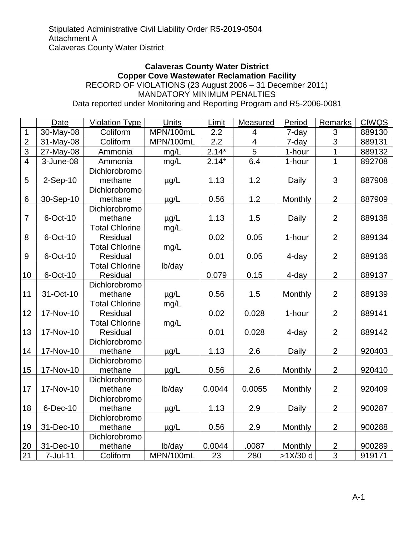#### **Calaveras County Water District Copper Cove Wastewater Reclamation Facility** RECORD OF VIOLATIONS (23 August 2006 – 31 December 2011) MANDATORY MINIMUM PENALTIES Data reported under Monitoring and Reporting Program and R5-2006-0081

Date | Violation Type | Units | Limit | Measured | Period | Remarks | CIWQS 1 | 30-May-08 | Coliform | MPN/100mL | 2.2 | 4 | 7-day | 3 | 889130 2 31-May-08 | Coliform | MPN/100mL | 2.2 | 4 | 7-day | 3 | 889131 3 27-May-08 Ammonia | mg/L | 2.14<sup>\*</sup> | 5 | 1-hour | 1 | 889132 4 | 3-June-08 | Ammonia | mg/L | 2.14\* | 6.4 | 1-hour | 1 | 892708 5 2-Sep-10 Dichlorobromo methane |  $\mu$ g/L | 1.13 | 1.2 | Daily | 3 | 887908 6 30-Sep-10 Dichlorobromo methane |  $\mu$ g/L | 0.56 | 1.2 | Monthly | 2 | 887909 7 6-Oct-10 Dichlorobromo methane | µg/L | 1.13 | 1.5 | Daily | 2 | 889138 8 6-Oct-10 Total Chlorine Residual mg/L 0.02 0.05 1-hour 2 889134 9 6-Oct-10 Total Chlorine Residual mg/L  $0.01$  0.05 4-day 2 889136 10 6-Oct-10 Total Chlorine Residual lb/day  $0.079$  0.15 4-day 2 889137 11 31-Oct-10 Dichlorobromo methane | µg/L | 0.56 | 1.5 | Monthly | 2 | 889139 12 17-Nov-10 Total Chlorine Residual mg/L 0.02 0.028 1-hour 2 889141 13 17-Nov-10 Total Chlorine Residual mg/L  $0.01$  0.028 4-day 2 889142 14 17-Nov-10 Dichlorobromo methane |  $\mu$ g/L | 1.13 | 2.6 | Daily | 2 | 920403 15 17-Nov-10 Dichlorobromo methane |  $\mu$ g/L | 0.56 | 2.6 | Monthly | 2 | 920410 17 17-Nov-10 Dichlorobromo methane | Ib/day | 0.0044 | 0.0055 | Monthly | 2 | 920409 18 6-Dec-10 Dichlorobromo methane | µg/L | 1.13 | 2.9 | Daily | 2 | 900287 19 31-Dec-10 Dichlorobromo methane |  $\mu$ g/L | 0.56 | 2.9 | Monthly | 2 | 900288 20 31-Dec-10 Dichlorobromo methane | Ib/day | 0.0044 | .0087 | Monthly | 2 | 900289 21 | 7-Jul-11 | Coliform | MPN/100mL | 23 | 280 | >1X/30 d | 3 | 919171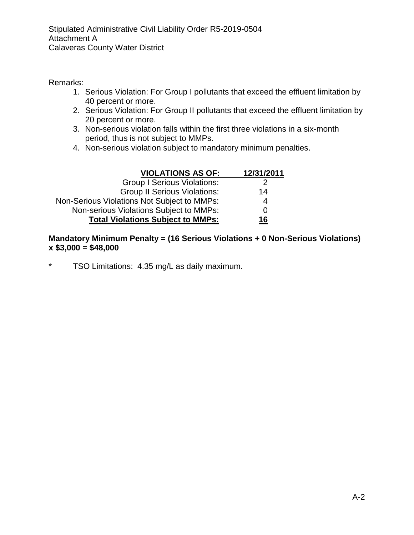Stipulated Administrative Civil Liability Order R5-2019-0504 Attachment A Calaveras County Water District

Remarks:

- 1. Serious Violation: For Group I pollutants that exceed the effluent limitation by 40 percent or more.
- 2. Serious Violation: For Group II pollutants that exceed the effluent limitation by 20 percent or more.
- 3. Non-serious violation falls within the first three violations in a six-month period, thus is not subject to MMPs.
- 4. Non-serious violation subject to mandatory minimum penalties.

| <b>VIOLATIONS AS OF:</b>                    | 12/31/2011 |
|---------------------------------------------|------------|
| <b>Group I Serious Violations:</b>          |            |
| <b>Group II Serious Violations:</b>         | 14         |
| Non-Serious Violations Not Subject to MMPs: | 4          |
| Non-serious Violations Subject to MMPs:     | 0          |
| <b>Total Violations Subject to MMPs:</b>    | 16         |

## **Mandatory Minimum Penalty = (16 Serious Violations + 0 Non-Serious Violations) x \$3,000 = \$48,000**

\* TSO Limitations: 4.35 mg/L as daily maximum.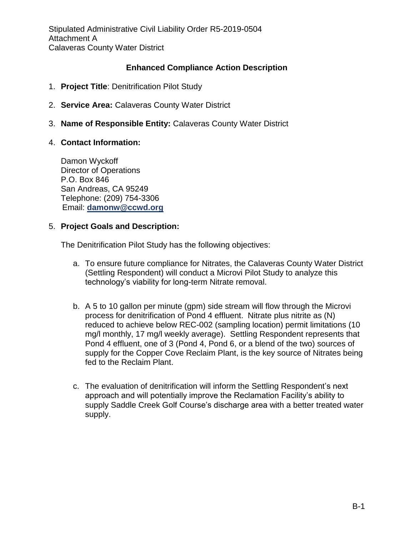Stipulated Administrative Civil Liability Order R5-2019-0504 Attachment A Calaveras County Water District

## **Enhanced Compliance Action Description**

- 1. **Project Title**: Denitrification Pilot Study
- 2. **Service Area:** Calaveras County Water District
- 3. **Name of Responsible Entity:** Calaveras County Water District

## 4. **Contact Information:**

Damon Wyckoff Director of Operations P.O. Box 846 San Andreas, CA 95249 Telephone: (209) 754-3306 Email: **[damonw@ccwd.org](mailto:damonw@ccwd.org)**

## 5. **Project Goals and Description:**

The Denitrification Pilot Study has the following objectives:

- a. To ensure future compliance for Nitrates, the Calaveras County Water District (Settling Respondent) will conduct a Microvi Pilot Study to analyze this technology's viability for long-term Nitrate removal.
- b. A 5 to 10 gallon per minute (gpm) side stream will flow through the Microvi process for denitrification of Pond 4 effluent. Nitrate plus nitrite as (N) reduced to achieve below REC-002 (sampling location) permit limitations (10 mg/l monthly, 17 mg/l weekly average). Settling Respondent represents that Pond 4 effluent, one of 3 (Pond 4, Pond 6, or a blend of the two) sources of supply for the Copper Cove Reclaim Plant, is the key source of Nitrates being fed to the Reclaim Plant.
- c. The evaluation of denitrification will inform the Settling Respondent's next approach and will potentially improve the Reclamation Facility's ability to supply Saddle Creek Golf Course's discharge area with a better treated water supply.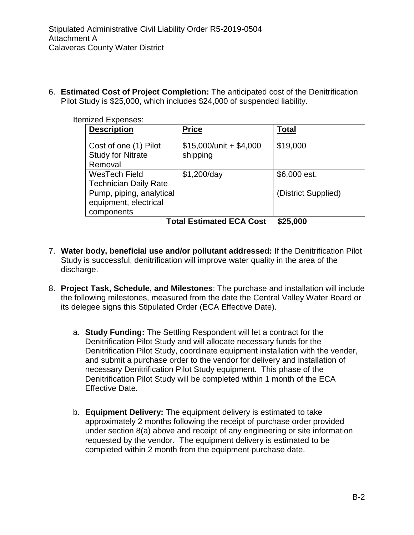6. **Estimated Cost of Project Completion:** The anticipated cost of the Denitrification Pilot Study is \$25,000, which includes \$24,000 of suspended liability.

| <b>Itemized Expenses:</b>                                       |                                       |                     |
|-----------------------------------------------------------------|---------------------------------------|---------------------|
| <b>Description</b>                                              | <b>Price</b>                          | <b>Total</b>        |
| Cost of one (1) Pilot<br><b>Study for Nitrate</b><br>Removal    | $$15,000/$ unit + \$4,000<br>shipping | \$19,000            |
| <b>WesTech Field</b><br><b>Technician Daily Rate</b>            | \$1,200/day                           | \$6,000 est.        |
| Pump, piping, analytical<br>equipment, electrical<br>components |                                       | (District Supplied) |
| <b>Total Estimated ECA Cost</b>                                 | \$25,000                              |                     |

7. **Water body, beneficial use and/or pollutant addressed:** If the Denitrification Pilot Study is successful, denitrification will improve water quality in the area of the discharge.

- 8. **Project Task, Schedule, and Milestones**: The purchase and installation will include the following milestones, measured from the date the Central Valley Water Board or its delegee signs this Stipulated Order (ECA Effective Date).
	- a. **Study Funding:** The Settling Respondent will let a contract for the Denitrification Pilot Study and will allocate necessary funds for the Denitrification Pilot Study, coordinate equipment installation with the vender, and submit a purchase order to the vendor for delivery and installation of necessary Denitrification Pilot Study equipment. This phase of the Denitrification Pilot Study will be completed within 1 month of the ECA Effective Date.
	- b. **Equipment Delivery:** The equipment delivery is estimated to take approximately 2 months following the receipt of purchase order provided under section 8(a) above and receipt of any engineering or site information requested by the vendor. The equipment delivery is estimated to be completed within 2 month from the equipment purchase date.